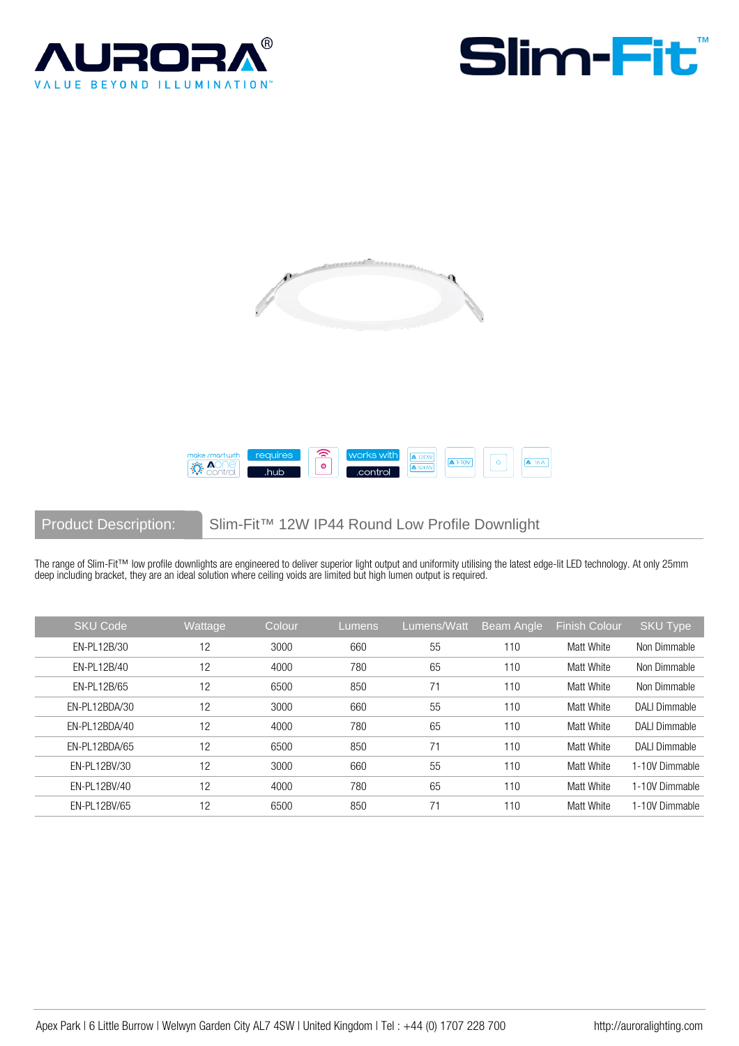







Product Description: Slim-Fit™ 12W IP44 Round Low Profile Downlight

The range of Slim-Fit™ low profile downlights are engineered to deliver superior light output and uniformity utilising the latest edge-lit LED technology. At only 25mm deep including bracket, they are an ideal solution where ceiling voids are limited but high lumen output is required.

| <b>SKU Code</b> | Wattage | Colour | Lumens | Lumens/Watt | <b>Beam Angle</b> | <b>Finish Colour</b> | SKU Type             |
|-----------------|---------|--------|--------|-------------|-------------------|----------------------|----------------------|
| EN-PL12B/30     | 12      | 3000   | 660    | 55          | 110               | Matt White           | Non Dimmable         |
| EN-PL12B/40     | 12      | 4000   | 780    | 65          | 110               | Matt White           | Non Dimmable         |
| EN-PL12B/65     | 12      | 6500   | 850    | 71          | 110               | Matt White           | Non Dimmable         |
| EN-PL12BDA/30   | 12      | 3000   | 660    | 55          | 110               | Matt White           | <b>DALI Dimmable</b> |
| EN-PL12BDA/40   | 12      | 4000   | 780    | 65          | 110               | Matt White           | <b>DALI Dimmable</b> |
| EN-PL12BDA/65   | 12      | 6500   | 850    | 71          | 110               | Matt White           | <b>DALI Dimmable</b> |
| EN-PL12BV/30    | 12      | 3000   | 660    | 55          | 110               | Matt White           | 1-10V Dimmable       |
| EN-PL12BV/40    | 12      | 4000   | 780    | 65          | 110               | Matt White           | 1-10V Dimmable       |
| EN-PL12BV/65    | 12      | 6500   | 850    | 71          | 110               | Matt White           | 1-10V Dimmable       |